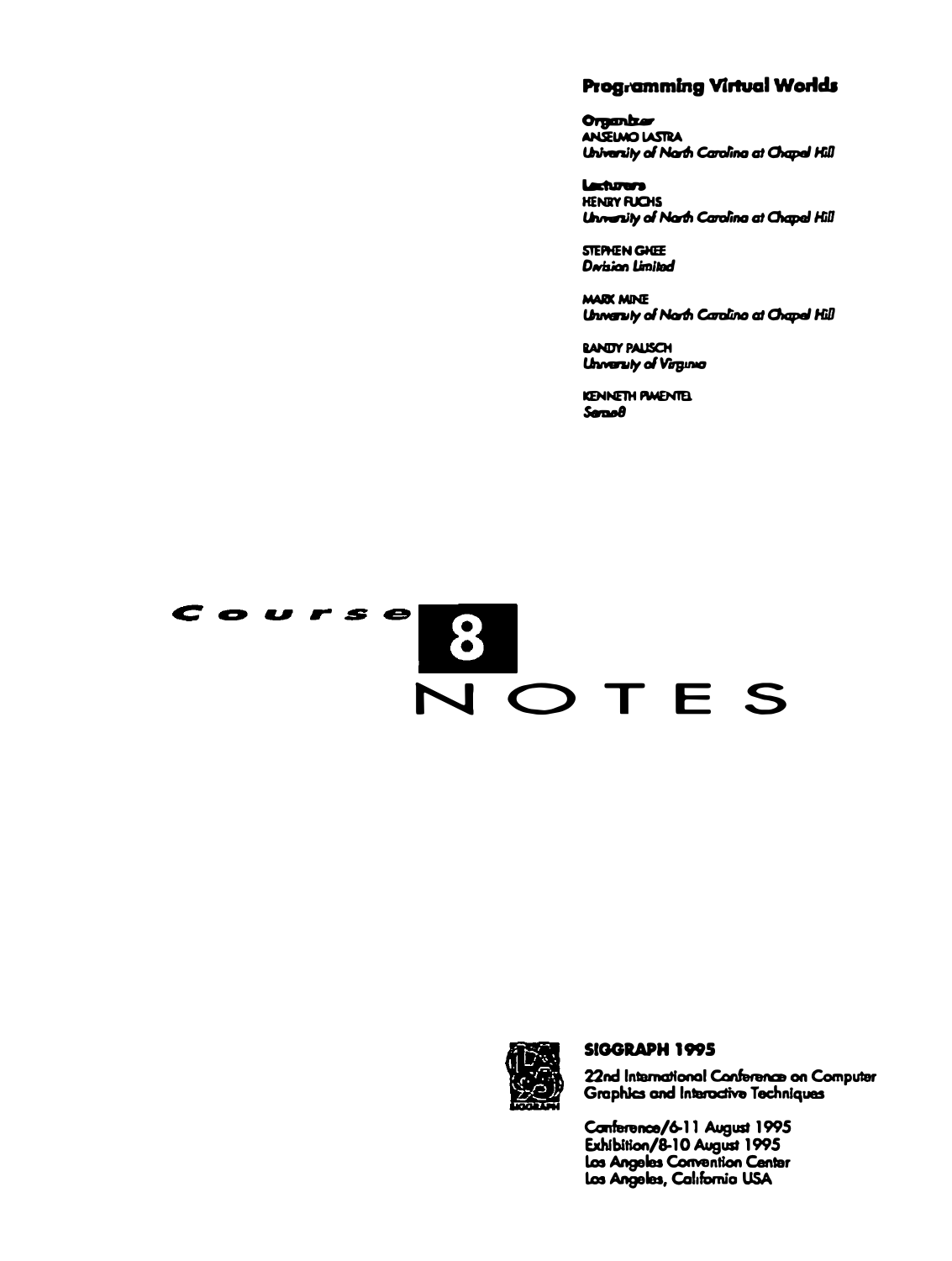#### **Programming Virtual Worlds**

Organizar **ANJELMO LASTRA** University of North Carolina at Chapel Hill

Lecturers **HENRY FUCHS** University of North Carolina at Chapel Hill

STEPHEN GHEE Derhian Limited

**MARK MINE** Unversity of North Carolino at Chapel Hill

**BANDY PALISCH** Unversity of Virginia

**KENNETH PWENTEL**  $Sarno<sub>θ</sub>$ 

## Course B<br>NOTES



#### SIGGRAPH 1995

22nd International Conference on Computer Graphics and Interactive Techniques

Conference/6-11 August 1995 Exhibition/8-10 August 1995 Los Angeles Convention Center Los Angeles, Californio USA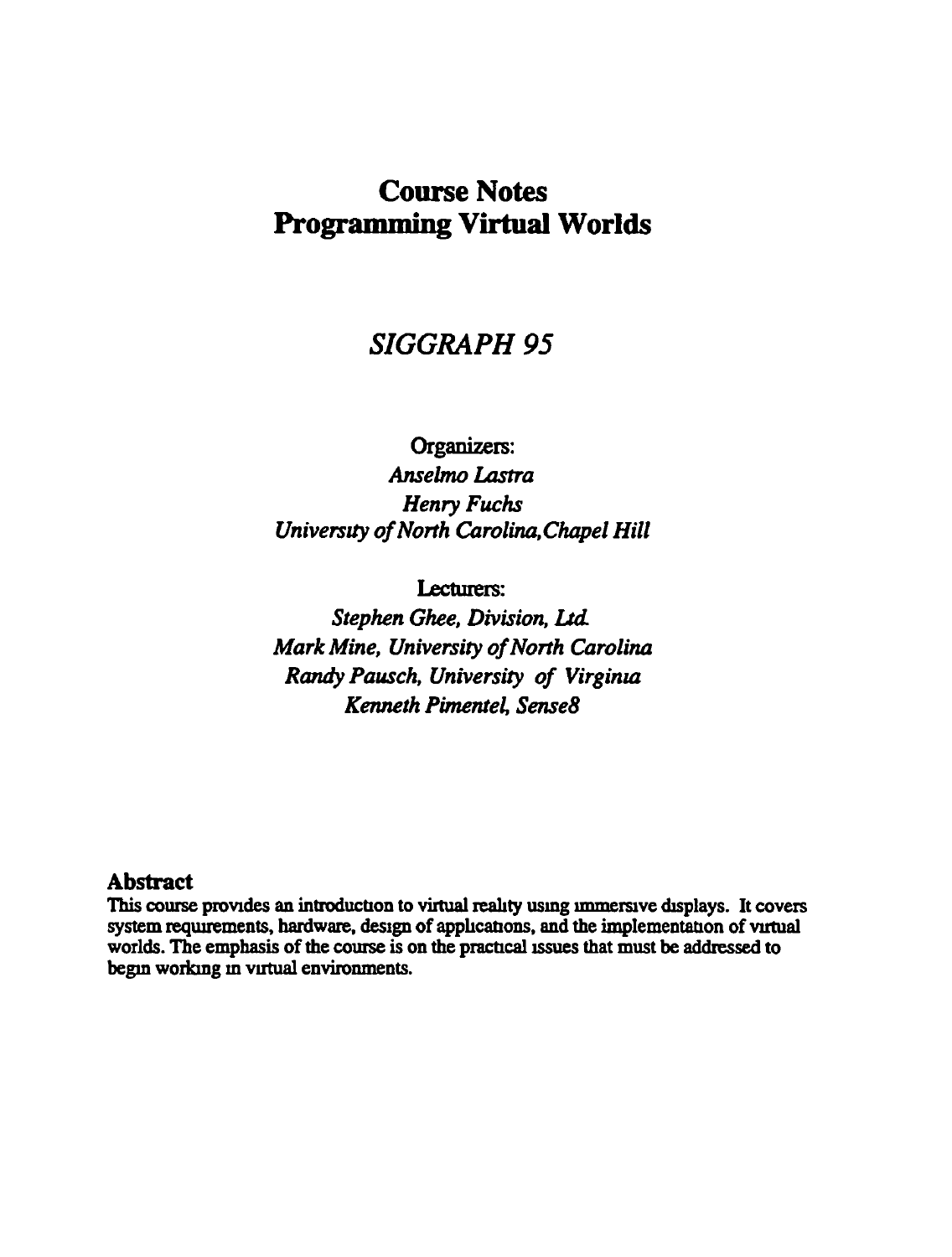## Course Notes Programming Virtual Worlds

## *SIGGRAPH95*

## Organizers: *Anselmo Lastra Henry Fuchs University of North Carolina, Chapel Hill*

Lecturers:

*Stephen Ghee, Division, Ltd. Mark Mine, University of North Carolina Randy Pausch, University of Virgima Kenneth Pimentet Sense8* 

### Abstract

This course provides an introduction to virtual reality using immersive displays. It covers system requirements, hardware, design of applications, and the implementation of virtual worlds. The emphasis of the course is on the practical issues that must be addressed to begin working in virtual environments.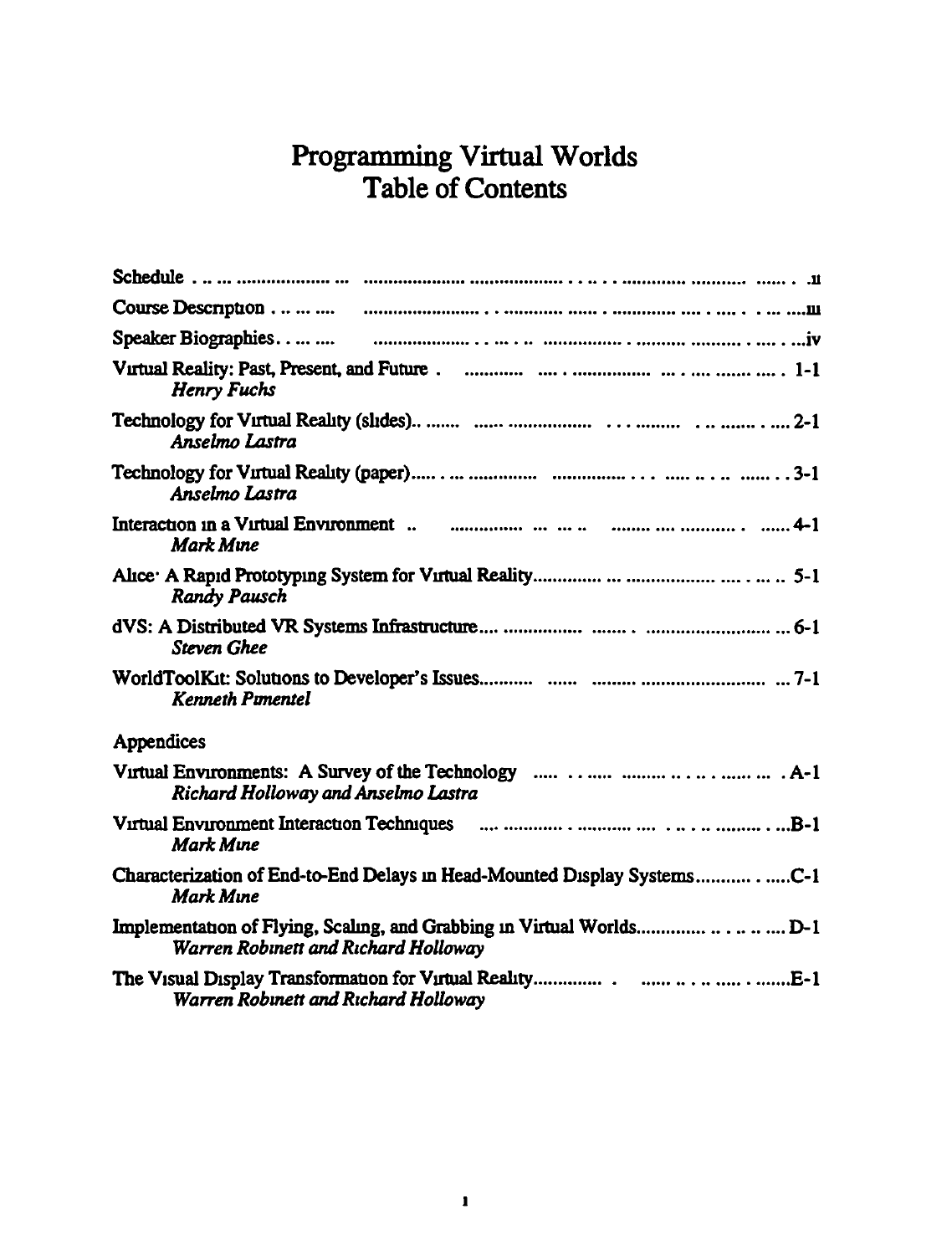# Programming Virtual Worlds<br>Table of Contents

| <b>Henry Fuchs</b>                                                                                           |
|--------------------------------------------------------------------------------------------------------------|
| Anselmo Lastra                                                                                               |
| Anselmo Lastra                                                                                               |
| <b>Mark Mine</b>                                                                                             |
| <b>Randy Pausch</b>                                                                                          |
| <b>Steven Ghee</b>                                                                                           |
| <b>Kenneth Pimentel</b>                                                                                      |
| Appendices                                                                                                   |
| Richard Holloway and Anselmo Lastra                                                                          |
| <b>Mark Mine</b>                                                                                             |
| <b>Mark Mine</b>                                                                                             |
| Implementation of Flying, Scaling, and Grabbing in Virtual WorldsD-1<br>Warren Robinett and Richard Holloway |
| Warren Robinett and Richard Holloway                                                                         |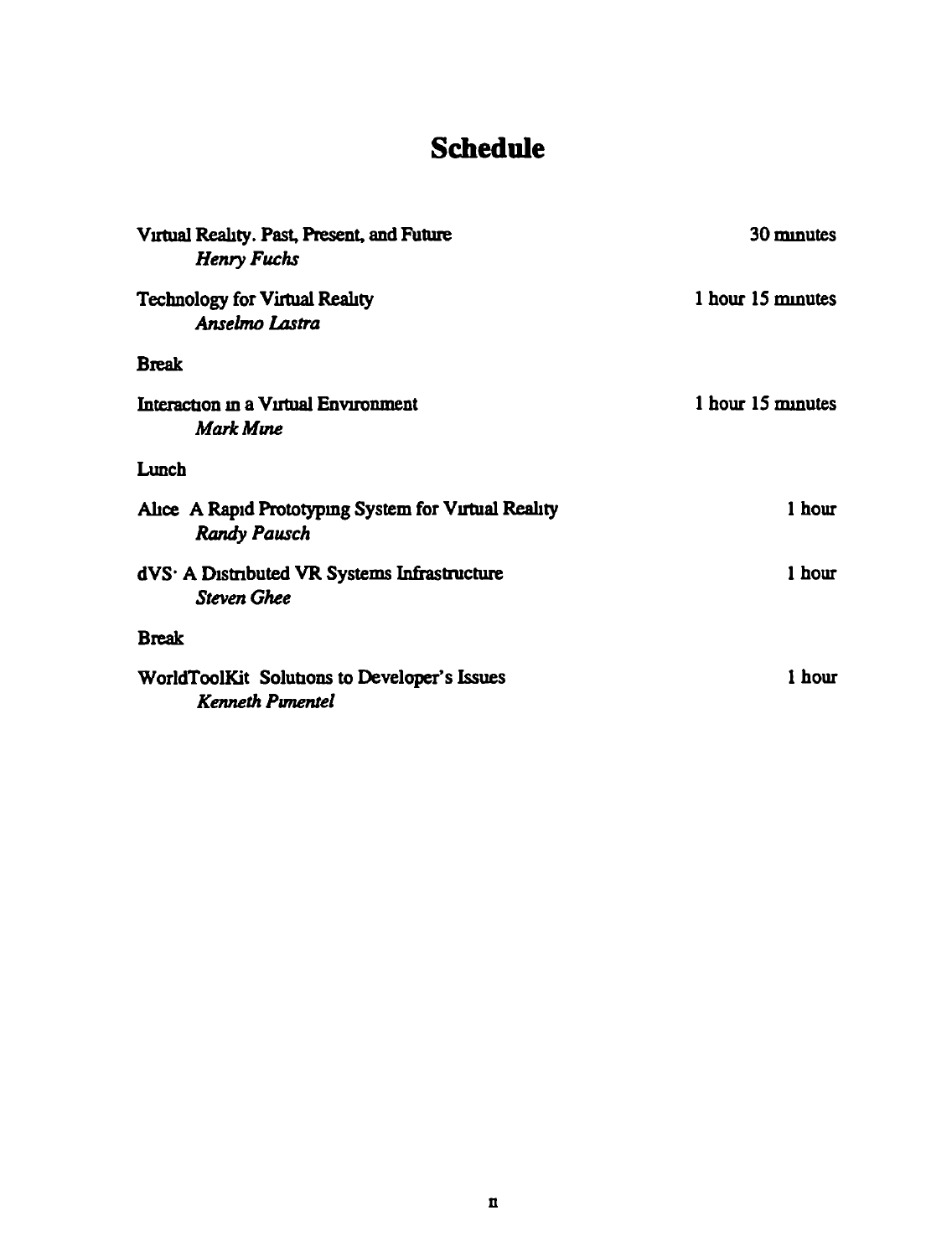## **Schedule**

| Virtual Reality. Past, Present, and Future<br>Henry Fuchs                   | 30 minutes        |
|-----------------------------------------------------------------------------|-------------------|
| <b>Technology for Virtual Reality</b><br>Anselmo Lastra                     | 1 hour 15 minutes |
| <b>Break</b>                                                                |                   |
| Interaction in a Virtual Environment<br>Mark Mine                           | 1 hour 15 minutes |
| Lunch                                                                       |                   |
| Alice A Rapid Prototyping System for Virtual Reality<br><b>Randy Pausch</b> | 1 hour            |
| dVS. A Distributed VR Systems Infrastructure<br><b>Steven Ghee</b>          | 1 hour            |
| <b>Break</b>                                                                |                   |
| WorldToolKit Solutions to Developer's Issues<br>Kenneth Pimentel            | 1 hour            |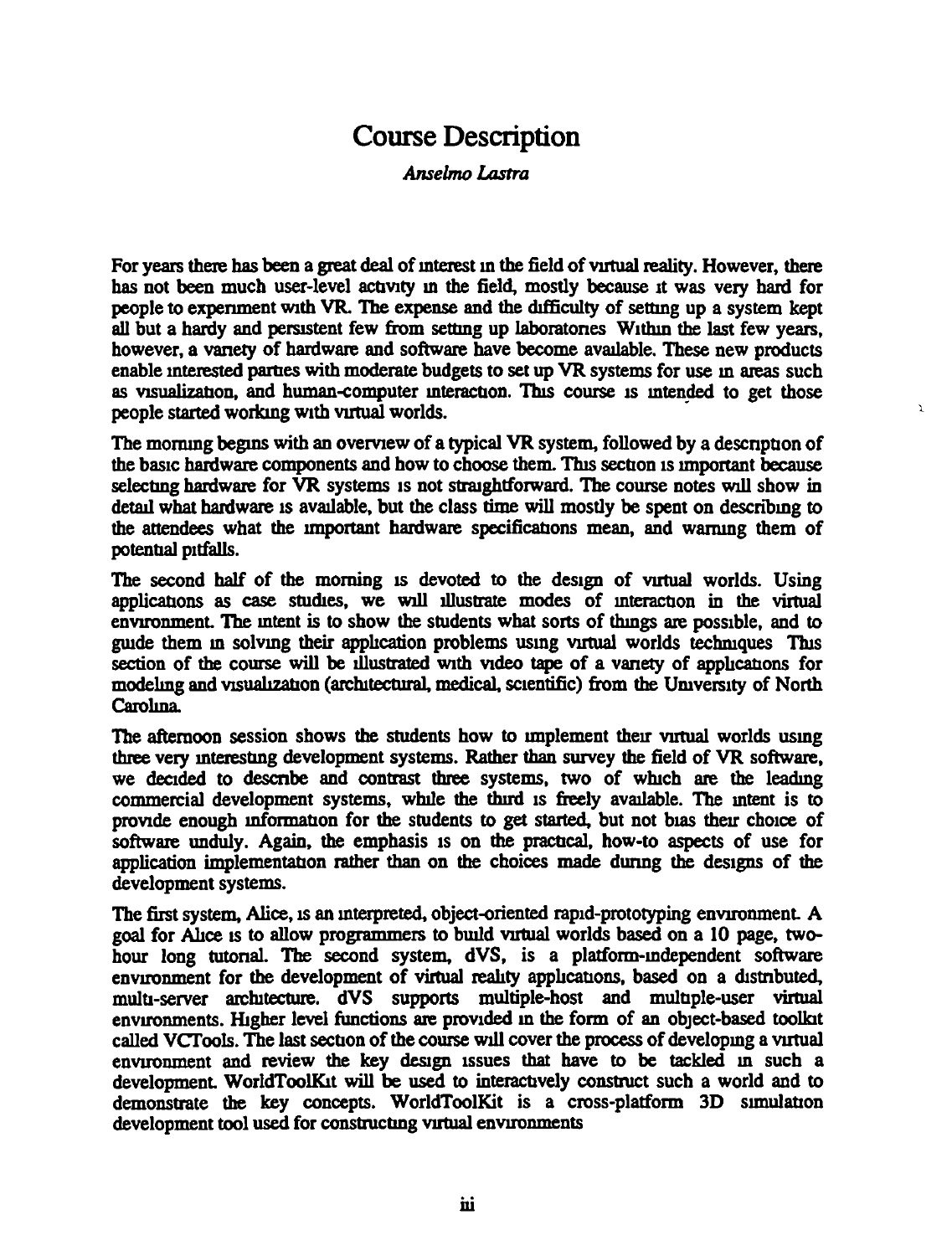## Course Description

*Anselmo* lAstra

For years there has been a great deal of interest in the field of virtual reality. However, there has not been much user-level activity in the field, mostly because it was very hard for people to experiment with VR. The expense and the difficulty of setting up a system kept all but a hardy and persistent few from setting up laboratones Within the last few years, however, a vanety of hardware and software have become available. These new products enable mterested parties with moderate budgets to set up VR systems for use m areas such as visualization, and human-computer interaction. This course is intended to get those people started workmg wtth vutual worlds.

ĭ

The morning begins with an overview of a typical VR system, followed by a description of the basic hardware components and how to choose them. This section is important because selecting hardware for VR systems is not straightforward. The course notes will show in detail what hardware is available, but the class time will mostly be spent on describing to the attendees what the important hardware specifications mean, and warning them of potential pitfalls.

The second half of the morning is devoted to the design of virtual worlds. Using applications as case studies, we will illustrate modes of interaction in the virtual environment. The intent is to show the students what sorts of things are possible, and to gmde them m solvmg their apphcation problems usmg vutual worlds tecbmques This section of the course will be illustrated with video tape of a vanety of applications for modeling and visualization (architectural, medical, scientific) from the University of North Carolina.

The afternoon session shows the students bow to tmplement thetr vutual worlds usmg three very mteresbng development systems. Rather than survey the field of VR software, we decided to describe and contrast three systems, two of which are the leading commercial development systems, while the third ts freely avatlable. The mtent is to provide enough information for the students to get started, but not bias their choice of software unduly. Again, the emphasis ts on the practical, how-to aspects of use for application implementation rather than on the choices made dunng the destgns of the development systems.

The first system, Alice, is an interpreted, object-oriented rapid-prototyping environment. A goal for Ahce IS to allow programmers to bwld vutual worlds based on a 10 page, twohour long bitonal. The second system, dVS, is a platform-mdependent software environment for the development of virtual reality applications, based on a distributed, multi-server architecture. dVS supports multiple-host and multiple-user virtual environments. Higher level functions are provided in the form of an object-based toolkit called VCTools. The last section of the course will cover the process of developing a virtual enwonment and review the key design tssues that have to be tackled m such a development. WorldToolKtt will be used to interactively construct such a world and to demonstrate the key concepts. WorldToolKit is a cross-platform 3D simulation development tool used for constructing virtual environments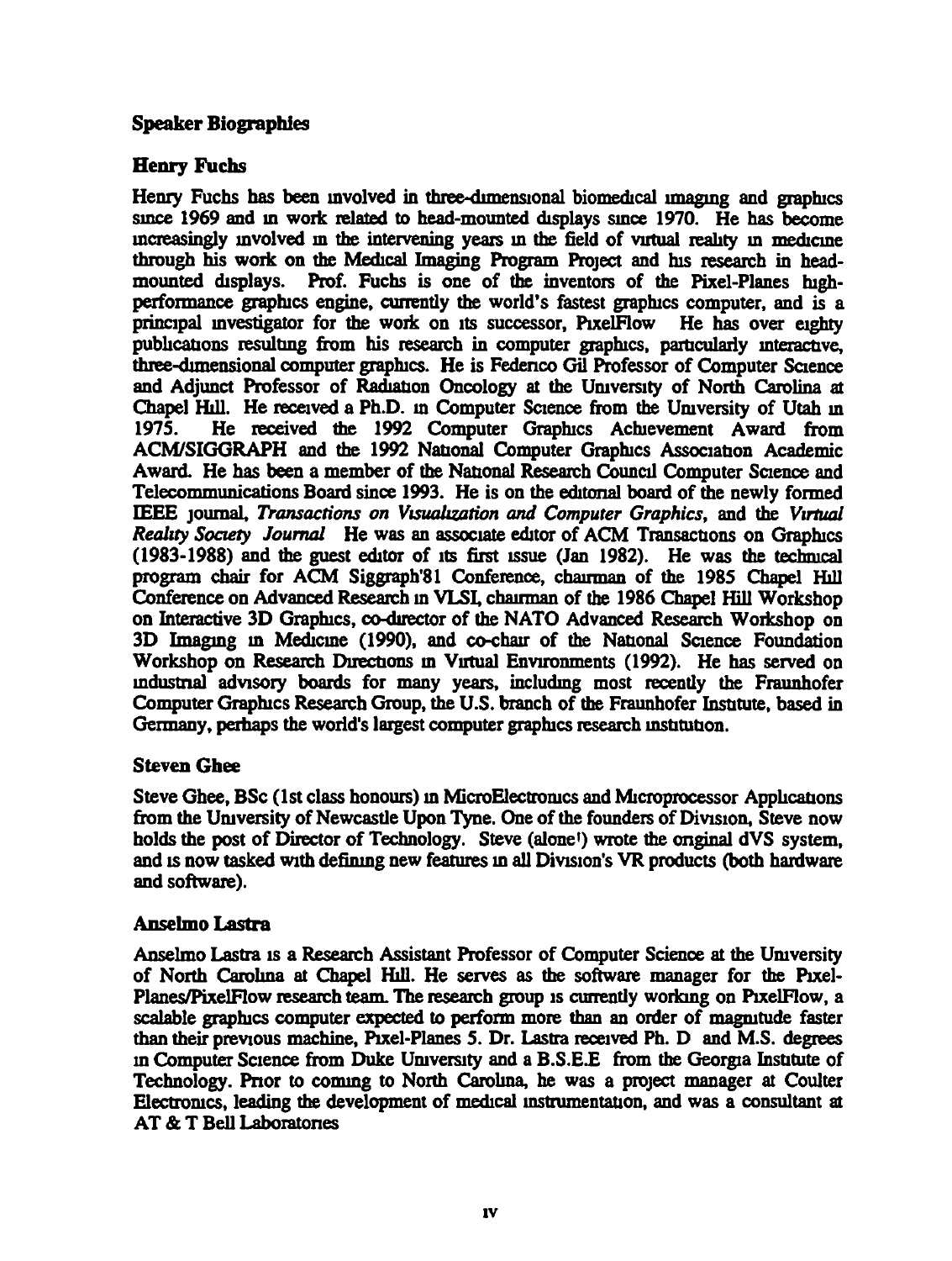## Speaker Biographies

## Henry Fuchs

Henry Fuchs has been myolved in three-dimensional biomedical imaging and graphics since 1969 and in work related to head-mounted displays since  $1970$ . He has become increasingly involved in the intervening years in the field of virtual reality in medicine through his work on the Mechcal Imaging Program Project and his research in headmounted displays. Prof. Fuchs is one of the inventors of the Pixel-Planes higbperfonnance graphics engine, currently the world's fastest graphics computer, and is a principal investigator for the work on its successor. PixelFlow He has over eighty publications resulting from his research in computer graphics, particularly interactive, three-dimensional computer graphics. He is Federico Gil Professor of Computer Science and Adjunct Professor of Radiation Oncology at the University of North Carolina at Chapel Hill. He received a Ph.D. in Computer Science from the University of Utah in 1975. He received the 1992 Computer Graphics Achievement Award from 1975. He received the 1992 Computer Graphics Achievement Award from ACM/SIGGRAPH and the 1992 National Computer Graphics Association Academic Award. He has been a member of the National Research Council Computer Science and Telecommunications Board since 1993. He is on the edttonal board of the newly formed IEEE journal, *Transactions on Visualization and Computer Graphics*, and the *Virtual Reality Society Journal* He was an associate editor of ACM Transactions on Graphics (1983-1988) and the guest editor of Its first ISsue (Jan 1982). He was the techmcal program chair for ACM Siggraph'81 Conference, chauman of the 1985 Chapel Hill Conference on Advanced Research m VLSI, chauman of the 1986 Chapel Hill Workshop on Interactive 3D Graphics, co-director of the NATO Advanced Research Workshop on 3D Imaging in Medicine (1990), and co-chair of the National Science Foundation Workshop on Research Directions in Virtual Environments (1992). He has served on mdustnal adVIsory boards for many years, including most recently the Fraunbofer Computer Graphics Research Group, the U.S. branch of the Fraunbofer Institute, based in Germany, perhaps the world's largest computer graphics research institution.

## Steven Gbee

Steve Ghee, BSc (1st class honours) in MicroElectronics and Microprocessor Applications from the University of Newcastle Upon Tyne. One of the founders of Division, Steve now holds the post of Director of Technology. Steve (alone') wrote the onginal dVS system, and IS now tasked With definmg new features m all DiVISion's VR products (both hardware and software).

## Anselmo Lastra

Anselmo Lastra IS a Research Assistant Professor of Computer Science at the Umversity of North Carolina at Chapel Hill. He serves as the software manager for the Pixel-Planes/PixelFlow research team. The research group is currently working on PixelFlow, a scalable graphics computer expected to perform more than an order of magmtude faster than their previous machine, Pixel-Planes 5. Dr. Lastra received Ph. D and M.S. degrees m Computer Science from Duke Umvemty and a B.S.E.E from the Georgia Institute of Technology. Pnor to commg to North Carohna, be was a project manager at Coulter Electromcs, leading the development of medical mstnunentation, and was a consultant at AT & T Bell Laboratones